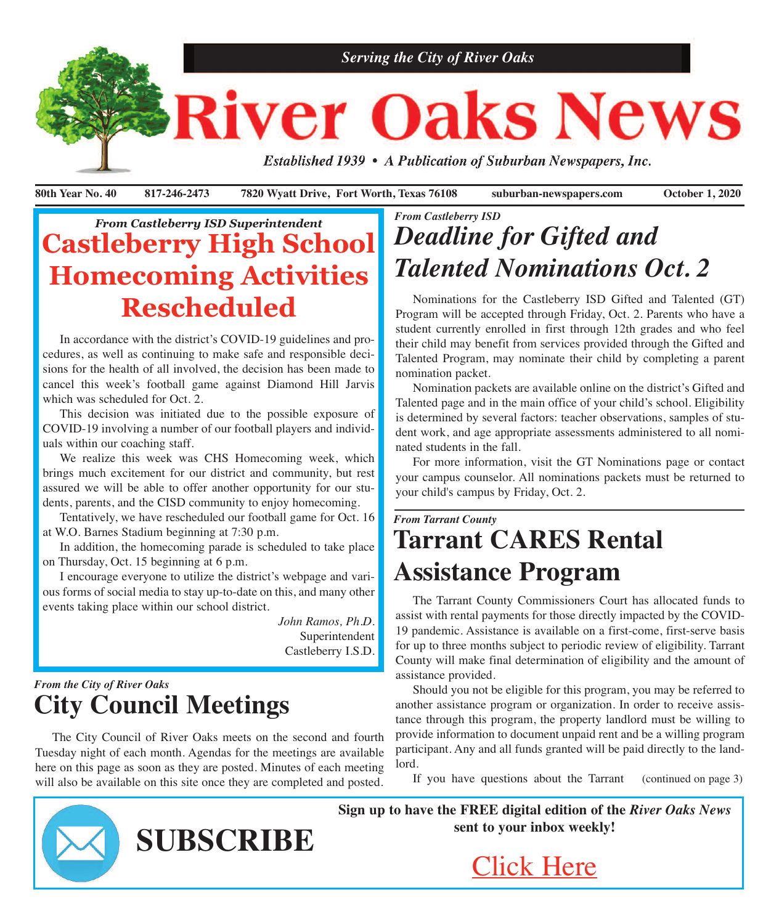

**80th Year No. 40 817-246-2473 7820 Wyatt Drive, Fort Worth, Texas 76108 suburban-newspapers.com October 1, 2020**

# *From Castleberry ISD Superintendent* **Castleberry High School Homecoming Activities Rescheduled**

 In accordance with the district's COVID-19 guidelines and procedures, as well as continuing to make safe and responsible decisions for the health of all involved, the decision has been made to cancel this week's football game against Diamond Hill Jarvis which was scheduled for Oct. 2.

 This decision was initiated due to the possible exposure of COVID-19 involving a number of our football players and individuals within our coaching staff.

 We realize this week was CHS Homecoming week, which brings much excitement for our district and community, but rest assured we will be able to offer another opportunity for our students, parents, and the CISD community to enjoy homecoming.

 Tentatively, we have rescheduled our football game for Oct. 16 at W.O. Barnes Stadium beginning at 7:30 p.m.

 In addition, the homecoming parade is scheduled to take place on Thursday, Oct. 15 beginning at 6 p.m.

 I encourage everyone to utilize the district's webpage and various forms of social media to stay up-to-date on this, and many other events taking place within our school district.

> *John Ramos, Ph.D.* Superintendent Castleberry I.S.D.

## *From the City of River Oaks* **City Council Meetings**

 The City Council of River Oaks meets on the second and fourth Tuesday night of each month. Agendas for the meetings are available here on this page as soon as they are posted. Minutes of each meeting will also be available on this site once they are completed and posted.

**SUBSCRIBE**

# *From Castleberry ISD Deadline for Gifted and Talented Nominations Oct. 2*

 Nominations for the Castleberry ISD Gifted and Talented (GT) Program will be accepted through Friday, Oct. 2. Parents who have a student currently enrolled in first through 12th grades and who feel their child may benefit from services provided through the Gifted and Talented Program, may nominate their child by completing a parent nomination packet.

 Nomination packets are available online on the district's Gifted and Talented page and in the main office of your child's school. Eligibility is determined by several factors: teacher observations, samples of student work, and age appropriate assessments administered to all nominated students in the fall.

 For more information, visit the GT Nominations page or contact your campus counselor. All nominations packets must be returned to your child's campus by Friday, Oct. 2.

# *From Tarrant County* **Tarrant CARES Rental Assistance Program**

 The Tarrant County Commissioners Court has allocated funds to assist with rental payments for those directly impacted by the COVID-19 pandemic. Assistance is available on a first-come, first-serve basis for up to three months subject to periodic review of eligibility. Tarrant County will make final determination of eligibility and the amount of assistance provided.

 Should you not be eligible for this program, you may be referred to another assistance program or organization. In order to receive assistance through this program, the property landlord must be willing to provide information to document unpaid rent and be a willing program participant. Any and all funds granted will be paid directly to the landlord.

 If you have questions about the Tarrant (continued on page 3)

**Sign up to have the FREE digital edition of the** *River Oaks News* **sent to your inbox weekly!**



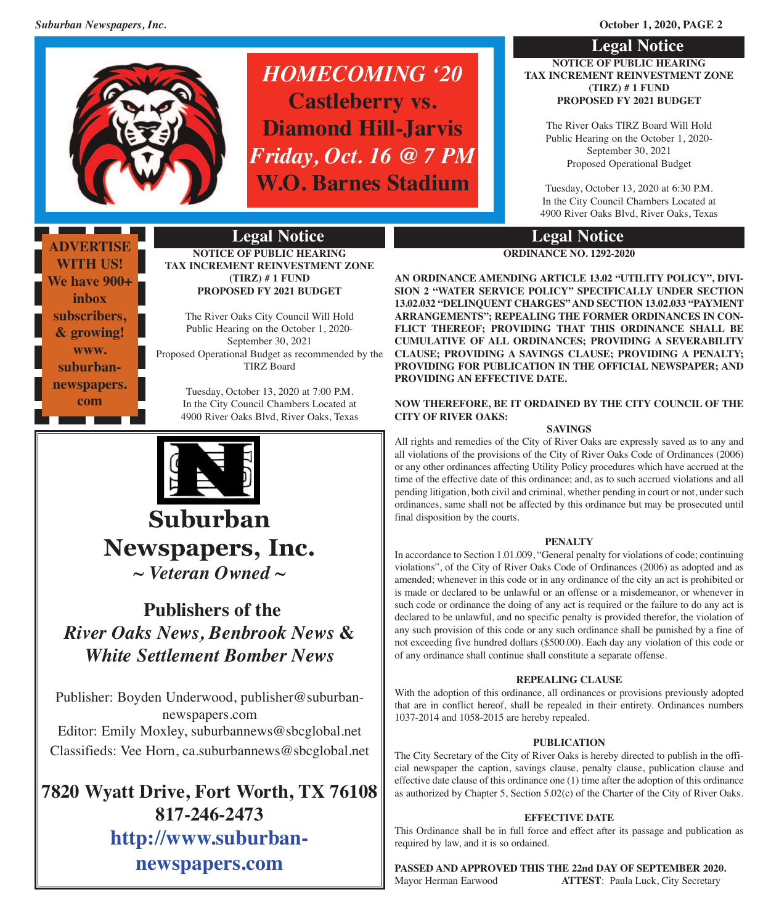

# *HOMECOMING '20* **Castleberry vs. Diamond Hill-Jarvis** *Friday, Oct. 16 @ 7 PM* **W.O. Barnes Stadium**

## **Legal Notice NOTICE OF PUBLIC HEARING TAX INCREMENT REINVESTMENT ZONE (TIRZ) # 1 FUND PROPOSED FY 2021 BUDGET**

The River Oaks TIRZ Board Will Hold Public Hearing on the October 1, 2020- September 30, 2021 Proposed Operational Budget

Tuesday, October 13, 2020 at 6:30 P.M. In the City Council Chambers Located at 4900 River Oaks Blvd, River Oaks, Texas

## **Legal Notice**

**ORDINANCE NO. 1292-2020**

**AN ORDINANCE AMENDING ARTICLE 13.02 "UTILITY POLICY", DIVI-SION 2 "WATER SERVICE POLICY" SPECIFICALLY UNDER SECTION 13.02.032 "DELINQUENT CHARGES" AND SECTION 13.02.033 "PAYMENT ARRANGEMENTS"; REPEALING THE FORMER ORDINANCES IN CON-FLICT THEREOF; PROVIDING THAT THIS ORDINANCE SHALL BE CUMULATIVE OF ALL ORDINANCES; PROVIDING A SEVERABILITY CLAUSE; PROVIDING A SAVINGS CLAUSE; PROVIDING A PENALTY; PROVIDING FOR PUBLICATION IN THE OFFICIAL NEWSPAPER; AND PROVIDING AN EFFECTIVE DATE.**

## **NOW THEREFORE, BE IT ORDAINED BY THE CITY COUNCIL OF THE CITY OF RIVER OAKS:**

## **SAVINGS**

All rights and remedies of the City of River Oaks are expressly saved as to any and all violations of the provisions of the City of River Oaks Code of Ordinances (2006) or any other ordinances affecting Utility Policy procedures which have accrued at the time of the effective date of this ordinance; and, as to such accrued violations and all pending litigation, both civil and criminal, whether pending in court or not, under such ordinances, same shall not be affected by this ordinance but may be prosecuted until final disposition by the courts.

## **PENALTY**

In accordance to Section 1.01.009, "General penalty for violations of code; continuing violations", of the City of River Oaks Code of Ordinances (2006) as adopted and as amended; whenever in this code or in any ordinance of the city an act is prohibited or is made or declared to be unlawful or an offense or a misdemeanor, or whenever in such code or ordinance the doing of any act is required or the failure to do any act is declared to be unlawful, and no specific penalty is provided therefor, the violation of any such provision of this code or any such ordinance shall be punished by a fine of not exceeding five hundred dollars (\$500.00). Each day any violation of this code or of any ordinance shall continue shall constitute a separate offense.

## **REPEALING CLAUSE**

With the adoption of this ordinance, all ordinances or provisions previously adopted that are in conflict hereof, shall be repealed in their entirety. Ordinances numbers 1037-2014 and 1058-2015 are hereby repealed.

## **PUBLICATION**

The City Secretary of the City of River Oaks is hereby directed to publish in the official newspaper the caption, savings clause, penalty clause, publication clause and effective date clause of this ordinance one (1) time after the adoption of this ordinance as authorized by Chapter 5, Section 5.02(c) of the Charter of the City of River Oaks.

## **EFFECTIVE DATE**

This Ordinance shall be in full force and effect after its passage and publication as required by law, and it is so ordained.

**PASSED AND APPROVED THIS THE 22nd DAY OF SEPTEMBER 2020.** Mayor Herman Earwood **ATTEST**: Paula Luck, City Secretary

**ADVERTISE WITH US! We have 900+ inbox subscribers, & growing! [www.](www.suburban-newspapers.com) [suburban](www.suburban-newspapers.com)[newspapers.](www.suburban-newspapers.com) [com](www.suburban-newspapers.com)**

## **Legal Notice**

**NOTICE OF PUBLIC HEARING TAX INCREMENT REINVESTMENT ZONE (TIRZ) # 1 FUND PROPOSED FY 2021 BUDGET**

The River Oaks City Council Will Hold Public Hearing on the October 1, 2020- September 30, 2021 Proposed Operational Budget as recommended by the TIRZ Board

> Tuesday, October 13, 2020 at 7:00 P.M. In the City Council Chambers Located at 4900 River Oaks Blvd, River Oaks, Texas



**Suburban Newspapers, Inc.** *~ Veteran Owned ~*

## **Publishers of the** *River Oaks News, Benbrook News* **&** *White Settlement Bomber News*

Publisher: Boyden Underwood, publisher@suburbannewspapers.com Editor: Emily Moxley, suburbannews@sbcglobal.net Classifieds: Vee Horn, ca.suburbannews@sbcglobal.net

**7820 Wyatt Drive, Fort Worth, TX 76108 817-246-2473 [http://www.suburban](http://www.suburban-newspapers.com)[newspapers.com](http://www.suburban-newspapers.com)**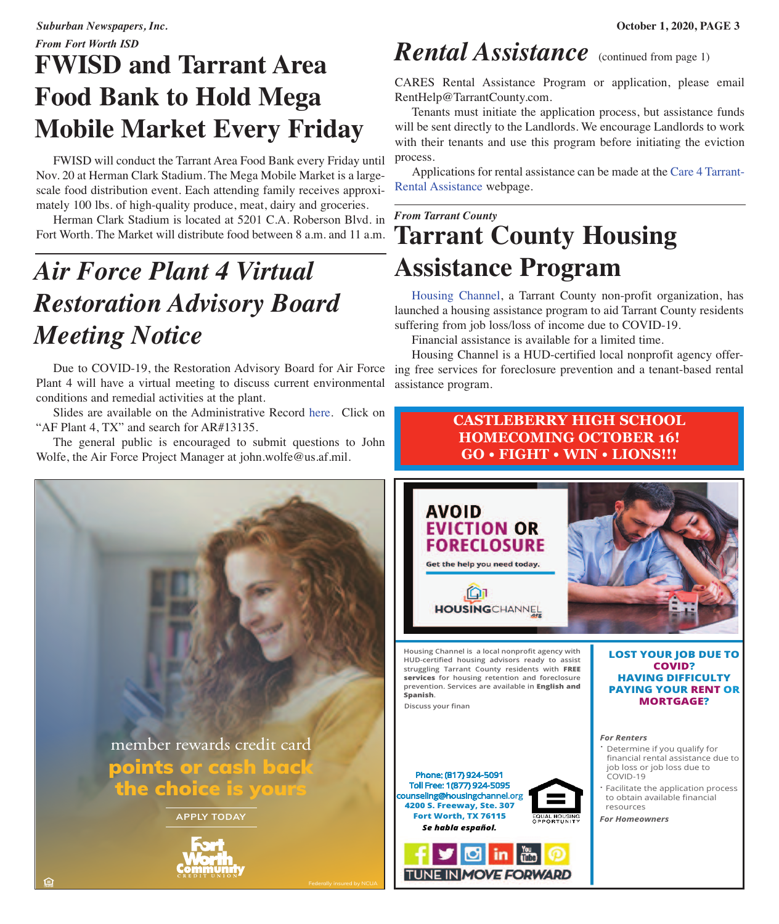# **FWISD and Tarrant Area Food Bank to Hold Mega Mobile Market Every Friday**

 FWISD will conduct the Tarrant Area Food Bank every Friday until Nov. 20 at Herman Clark Stadium. The Mega Mobile Market is a largescale food distribution event. Each attending family receives approximately 100 lbs. of high-quality produce, meat, dairy and groceries.

 Herman Clark Stadium is located at 5201 C.A. Roberson Blvd. in Fort Worth. The Market will distribute food between 8 a.m. and 11 a.m.

# *Air Force Plant 4 Virtual Restoration Advisory Board Meeting Notice*

 Due to COVID-19, the Restoration Advisory Board for Air Force Plant 4 will have a virtual meeting to discuss current environmental conditions and remedial activities at the plant.

 Slides are available on the Administrative Record [here.](https://ar.afcec-cloud.af.mil/Search.aspx) Click on "AF Plant 4, TX" and search for AR#13135.

 The general public is encouraged to submit questions to John Wolfe, the Air Force Project Manager at john.wolfe@us.af.mil.



# *Rental Assistance* (continued from page 1)

CARES Rental Assistance Program or application, please email RentHelp@TarrantCounty.com.

 Tenants must initiate the application process, but assistance funds will be sent directly to the Landlords. We encourage Landlords to work with their tenants and use this program before initiating the eviction process.

 Applications for rental assistance can be made at the Care 4 [Tarrant-](http://www.tarrantcounty.com/en/county/social-services/rental-assistance-program.html)Rental [Assistance](http://www.tarrantcounty.com/en/county/social-services/rental-assistance-program.html) webpage.

# *From Tarrant County* **Tarrant County Housing Assistance Program**

 [Housing](https://www.housingchannel.org) Channel, a Tarrant County non-profit organization, has launched a housing assistance program to aid Tarrant County residents suffering from job loss/loss of income due to COVID-19.

Financial assistance is available for a limited time.

 Housing Channel is a HUD-certified local nonprofit agency offering free services for foreclosure prevention and a tenant-based rental assistance program.

## **CASTLEBERRY HIGH SCHOOL HOMECOMING OCTOBER 16! GO • FIGHT • WIN • LIONS!!!**

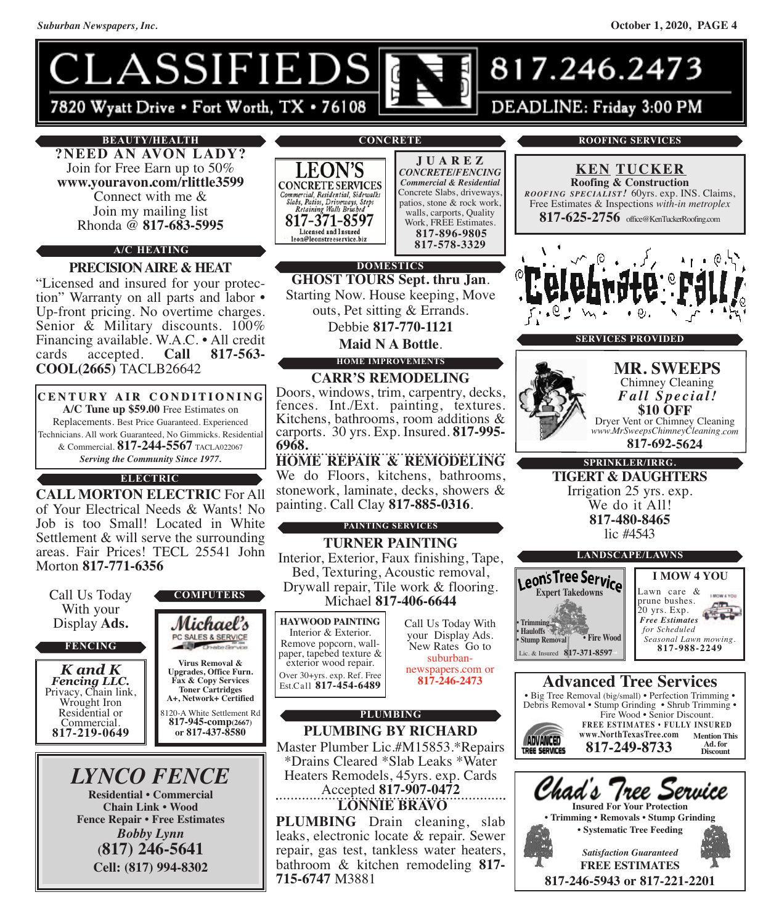

## **BEAUTY/HEALTH**

**?NEED AN AVON LADY?** Join for Free Earn up to 50% **www.youravon.com/rlittle3599** Connect with me & Join my mailing list Rhonda @ **817-683-5995**

## **A/C HEATING**

**PRECISIONAIRE & HEAT** "Licensed and insured for your protection" Warranty on all parts and labor • Up-front pricing. No overtime charges. Senior & Military discounts. 100% Financing available. W.A.C. • All credit cards accepted. **Call 817-563- COOL(2665)** TACLB26642

**C E N T U R Y A I R C O N D I T I O N I N G A/C Tune up \$59.00** Free Estimates on Replacements. Best Price Guaranteed. Experienced Technicians. All work Guaranteed, No Gimmicks. Residential & Commercial. **817-244-5567** TACLA022067 *Serving the Community Since 1977.*

**ELECTRIC**

**CALL MORTON ELECTRIC** For All of Your Electrical Needs & Wants! No Job is too Small! Located in White Settlement & will serve the surrounding areas. Fair Prices! TECL 25541 John Morton **817-771-6356**



**Cell: (817) 994-8302**

**CONCRETE**



**J U A R E Z** *CONCRETE/FENCING Commercial & Residential* Concrete Slabs, driveways, patios, stone & rock work, walls, carports, Quality Work, FREE Estimates. **817-896-9805 817-578-3329**

## **DOMESTICS**

**GHOST TOURS Sept. thru Jan**. Starting Now. House keeping, Move outs, Pet sitting & Errands.

Debbie **817-770-1121**

**Maid N A Bottle**. **HOME IMPROVEMENTS**

## **CARR'S REMODELING**

Doors, windows, trim, carpentry, decks, fences. Int./Ext. painting, textures. Kitchens, bathrooms, room additions & carports. <sup>30</sup> yrs. Exp. Insured. **817-995- 6968.**

**HOME REPAIR & REMODELING** We do Floors, kitchens, bathrooms, stonework, laminate, decks, showers & painting. Call Clay **817-885-0316**.

## **PAINTING SERVICES**

**TURNER PAINTING** Interior, Exterior, Faux finishing, Tape, Bed, Texturing, Acoustic removal, Drywall repair, Tile work & flooring. Michael **817-406-6644**

Interior & Exterior.<br>Remove popcorn, wallpaper, tapebed texture & exterior wood repair. Over 30+yrs. exp. Ref. Free Est.Call **817-454-6489**

**715-6747** M3881

Call Us Today With your Display Ads. New Rates Go to suburban newspapers.com or **817-246-2473**

**PLUMBING**

**PLUMBING BY RICHARD** Master Plumber Lic.#M15853.\*Repairs \*Drains Cleared \*Slab Leaks \*Water Heaters Remodels, 45yrs. exp. Cards

Accepted **817-907-0472 LONNIE BRAVO**

**PLUMBING** Drain cleaning, slab leaks, electronic locate & repair. Sewer repair, gas test, tankless water heaters,

bathroom & kitchen remodeling **817-**

# **817-625-2756** office@KenTuckerRoofing.com

**ROOFING SERVICES**

**KEN TUCKER Roofing & Construction** *ROOFING SPECIALIST!* 60yrs. exp. INS. Claims, Free Estimates & Inspections *with-in metroplex*

**SERVICES PROVIDED**



#### **MR. SWEEPS** Chimney Cleaning *Fall Spe <sup>c</sup> ial!* **\$10 OFF** Dryer Vent or Chimney Cleaning *www.MrSweepsChimneyCleaning.com* **817-692-5624**

**TIGERT & DAUGHTERS** Irrigation <sup>25</sup> yrs. exp. We do it All! **817-480-8465** lic #4543 **SPRINKLER/IRRG.**



## **Advanced Tree Services**